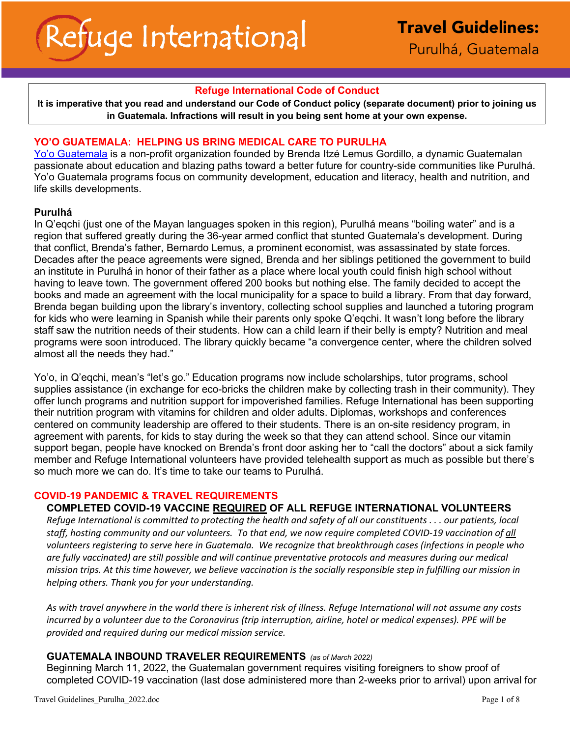## **Refuge International Code of Conduct**

**It is imperative that you read and understand our Code of Conduct policy (separate document) prior to joining us in Guatemala. Infractions will result in you being sent home at your own expense.**

## **YO'O GUATEMALA: HELPING US BRING MEDICAL CARE TO PURULHA**

Yo'o Guatemala is a non-profit organization founded by Brenda Itzé Lemus Gordillo, a dynamic Guatemalan passionate about education and blazing paths toward a better future for country-side communities like Purulhá. Yo'o Guatemala programs focus on community development, education and literacy, health and nutrition, and life skills developments.

## **Purulhá**

In Q'eqchi (just one of the Mayan languages spoken in this region), Purulhá means "boiling water" and is a region that suffered greatly during the 36-year armed conflict that stunted Guatemala's development. During that conflict, Brenda's father, Bernardo Lemus, a prominent economist, was assassinated by state forces. Decades after the peace agreements were signed, Brenda and her siblings petitioned the government to build an institute in Purulhá in honor of their father as a place where local youth could finish high school without having to leave town. The government offered 200 books but nothing else. The family decided to accept the books and made an agreement with the local municipality for a space to build a library. From that day forward, Brenda began building upon the library's inventory, collecting school supplies and launched a tutoring program for kids who were learning in Spanish while their parents only spoke Q'eqchi. It wasn't long before the library staff saw the nutrition needs of their students. How can a child learn if their belly is empty? Nutrition and meal programs were soon introduced. The library quickly became "a convergence center, where the children solved almost all the needs they had."

Yo'o, in Q'eqchi, mean's "let's go." Education programs now include scholarships, tutor programs, school supplies assistance (in exchange for eco-bricks the children make by collecting trash in their community). They offer lunch programs and nutrition support for impoverished families. Refuge International has been supporting their nutrition program with vitamins for children and older adults. Diplomas, workshops and conferences centered on community leadership are offered to their students. There is an on-site residency program, in agreement with parents, for kids to stay during the week so that they can attend school. Since our vitamin support began, people have knocked on Brenda's front door asking her to "call the doctors" about a sick family member and Refuge International volunteers have provided telehealth support as much as possible but there's so much more we can do. It's time to take our teams to Purulhá.

## **COVID-19 PANDEMIC & TRAVEL REQUIREMENTS**

# **COMPLETED COVID-19 VACCINE REQUIRED OF ALL REFUGE INTERNATIONAL VOLUNTEERS**

*Refuge International is committed to protecting the health and safety of all our constituents . . . our patients, local staff, hosting community and our volunteers. To that end, we now require completed COVID-19 vaccination of all volunteers registering to serve here in Guatemala. We recognize that breakthrough cases (infections in people who are fully vaccinated) are still possible and will continue preventative protocols and measures during our medical mission trips. At this time however, we believe vaccination is the socially responsible step in fulfilling our mission in helping others. Thank you for your understanding.*

*As with travel anywhere in the world there is inherent risk of illness. Refuge International will not assume any costs incurred by a volunteer due to the Coronavirus (trip interruption, airline, hotel or medical expenses). PPE will be provided and required during our medical mission service.*

## **GUATEMALA INBOUND TRAVELER REQUIREMENTS** *(as of March 2022)*

Beginning March 11, 2022, the Guatemalan government requires visiting foreigners to show proof of completed COVID-19 vaccination (last dose administered more than 2-weeks prior to arrival) upon arrival for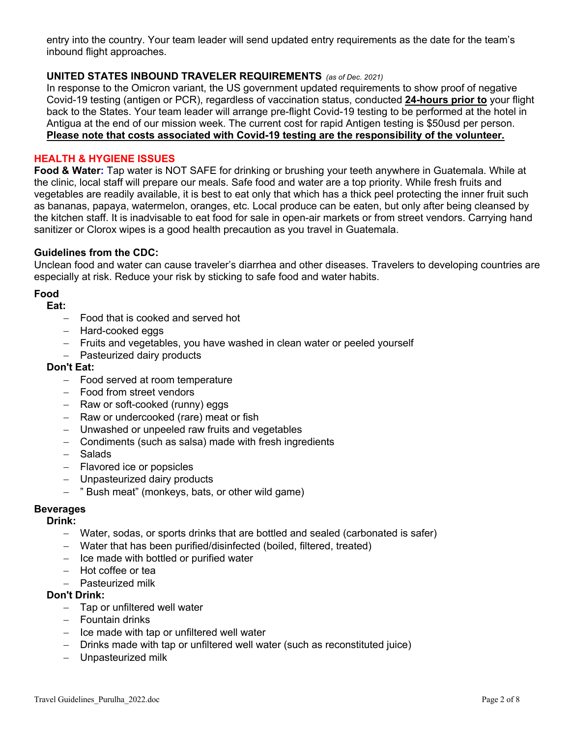entry into the country. Your team leader will send updated entry requirements as the date for the team's inbound flight approaches.

# **UNITED STATES INBOUND TRAVELER REQUIREMENTS** *(as of Dec. 2021)*

In response to the Omicron variant, the US government updated requirements to show proof of negative Covid-19 testing (antigen or PCR), regardless of vaccination status, conducted **24-hours prior to** your flight back to the States. Your team leader will arrange pre-flight Covid-19 testing to be performed at the hotel in Antigua at the end of our mission week. The current cost for rapid Antigen testing is \$50usd per person. **Please note that costs associated with Covid-19 testing are the responsibility of the volunteer.** 

## **HEALTH & HYGIENE ISSUES**

**Food & Water:** Tap water is NOT SAFE for drinking or brushing your teeth anywhere in Guatemala. While at the clinic, local staff will prepare our meals. Safe food and water are a top priority. While fresh fruits and vegetables are readily available, it is best to eat only that which has a thick peel protecting the inner fruit such as bananas, papaya, watermelon, oranges, etc. Local produce can be eaten, but only after being cleansed by the kitchen staff. It is inadvisable to eat food for sale in open-air markets or from street vendors. Carrying hand sanitizer or Clorox wipes is a good health precaution as you travel in Guatemala.

## **Guidelines from the CDC:**

Unclean food and water can cause traveler's diarrhea and other diseases. Travelers to developing countries are especially at risk. Reduce your risk by sticking to safe food and water habits.

# **Food**

#### **Eat:**

- Food that is cooked and served hot
- Hard-cooked eggs
- Fruits and vegetables, you have washed in clean water or peeled yourself
- Pasteurized dairy products

## **Don't Eat:**

- Food served at room temperature
- Food from street vendors
- Raw or soft-cooked (runny) eggs
- Raw or undercooked (rare) meat or fish
- Unwashed or unpeeled raw fruits and vegetables
- Condiments (such as salsa) made with fresh ingredients
- Salads
- Flavored ice or popsicles
- Unpasteurized dairy products
- " Bush meat" (monkeys, bats, or other wild game)

## **Beverages**

## **Drink:**

- Water, sodas, or sports drinks that are bottled and sealed (carbonated is safer)
- Water that has been purified/disinfected (boiled, filtered, treated)
- Ice made with bottled or purified water
- $-$  Hot coffee or tea
- Pasteurized milk

## **Don't Drink:**

- Tap or unfiltered well water
- Fountain drinks
- Ice made with tap or unfiltered well water
- Drinks made with tap or unfiltered well water (such as reconstituted juice)
- Unpasteurized milk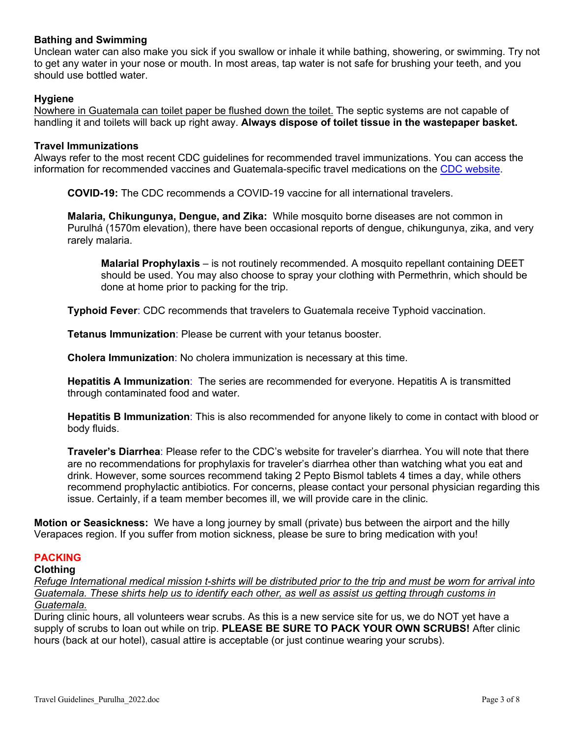# **Bathing and Swimming**

Unclean water can also make you sick if you swallow or inhale it while bathing, showering, or swimming. Try not to get any water in your nose or mouth. In most areas, tap water is not safe for brushing your teeth, and you should use bottled water.

## **Hygiene**

Nowhere in Guatemala can toilet paper be flushed down the toilet. The septic systems are not capable of handling it and toilets will back up right away. **Always dispose of toilet tissue in the wastepaper basket.** 

#### **Travel Immunizations**

Always refer to the most recent CDC guidelines for recommended travel immunizations. You can access the information for recommended vaccines and Guatemala-specific travel medications on the CDC website.

**COVID-19:** The CDC recommends a COVID-19 vaccine for all international travelers.

**Malaria, Chikungunya, Dengue, and Zika:** While mosquito borne diseases are not common in Purulhá (1570m elevation), there have been occasional reports of dengue, chikungunya, zika, and very rarely malaria.

**Malarial Prophylaxis** – is not routinely recommended. A mosquito repellant containing DEET should be used. You may also choose to spray your clothing with Permethrin, which should be done at home prior to packing for the trip.

**Typhoid Fever**: CDC recommends that travelers to Guatemala receive Typhoid vaccination.

**Tetanus Immunization**: Please be current with your tetanus booster.

**Cholera Immunization**: No cholera immunization is necessary at this time.

**Hepatitis A Immunization**: The series are recommended for everyone. Hepatitis A is transmitted through contaminated food and water.

**Hepatitis B Immunization**: This is also recommended for anyone likely to come in contact with blood or body fluids.

**Traveler's Diarrhea**: Please refer to the CDC's website for traveler's diarrhea. You will note that there are no recommendations for prophylaxis for traveler's diarrhea other than watching what you eat and drink. However, some sources recommend taking 2 Pepto Bismol tablets 4 times a day, while others recommend prophylactic antibiotics. For concerns, please contact your personal physician regarding this issue. Certainly, if a team member becomes ill, we will provide care in the clinic.

**Motion or Seasickness:** We have a long journey by small (private) bus between the airport and the hilly Verapaces region. If you suffer from motion sickness, please be sure to bring medication with you!

## **PACKING**

## **Clothing**

*Refuge International medical mission t-shirts will be distributed prior to the trip and must be worn for arrival into Guatemala. These shirts help us to identify each other, as well as assist us getting through customs in Guatemala.*

During clinic hours, all volunteers wear scrubs. As this is a new service site for us, we do NOT yet have a supply of scrubs to loan out while on trip. **PLEASE BE SURE TO PACK YOUR OWN SCRUBS!** After clinic hours (back at our hotel), casual attire is acceptable (or just continue wearing your scrubs).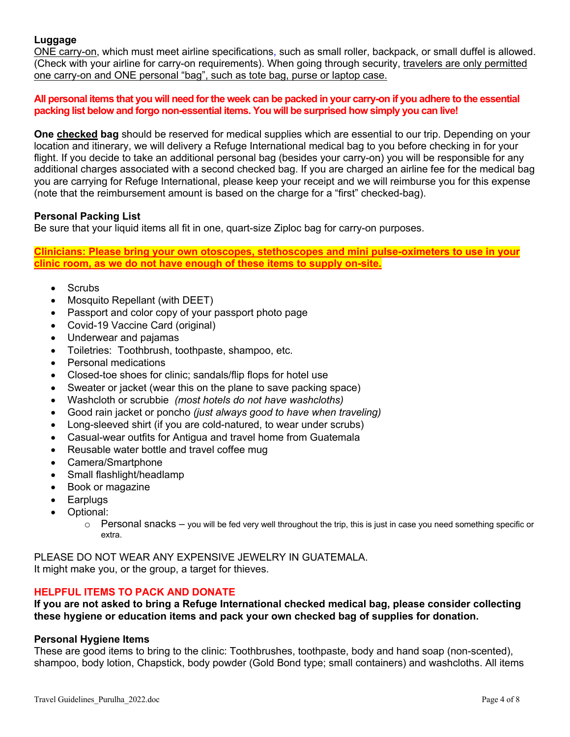## **Luggage**

ONE carry-on, which must meet airline specifications, such as small roller, backpack, or small duffel is allowed. (Check with your airline for carry-on requirements). When going through security, travelers are only permitted one carry-on and ONE personal "bag", such as tote bag, purse or laptop case.

**All personal items that you will need for the week can be packed in your carry-on if you adhere to the essential packing list below and forgo non-essential items. You will be surprised how simply you can live!**

**One checked bag** should be reserved for medical supplies which are essential to our trip. Depending on your location and itinerary, we will delivery a Refuge International medical bag to you before checking in for your flight. If you decide to take an additional personal bag (besides your carry-on) you will be responsible for any additional charges associated with a second checked bag. If you are charged an airline fee for the medical bag you are carrying for Refuge International, please keep your receipt and we will reimburse you for this expense (note that the reimbursement amount is based on the charge for a "first" checked-bag).

#### **Personal Packing List**

Be sure that your liquid items all fit in one, quart-size Ziploc bag for carry-on purposes.

**Clinicians: Please bring your own otoscopes, stethoscopes and mini pulse-oximeters to use in your clinic room, as we do not have enough of these items to supply on-site.** 

- Scrubs
- Mosquito Repellant (with DEET)
- Passport and color copy of your passport photo page
- Covid-19 Vaccine Card (original)
- Underwear and pajamas
- Toiletries: Toothbrush, toothpaste, shampoo, etc.
- Personal medications
- Closed-toe shoes for clinic; sandals/flip flops for hotel use
- Sweater or jacket (wear this on the plane to save packing space)
- Washcloth or scrubbie *(most hotels do not have washcloths)*
- Good rain jacket or poncho *(just always good to have when traveling)*
- Long-sleeved shirt (if you are cold-natured, to wear under scrubs)
- Casual-wear outfits for Antigua and travel home from Guatemala
- Reusable water bottle and travel coffee mug
- Camera/Smartphone
- Small flashlight/headlamp
- Book or magazine
- Earplugs
- Optional:
	- $\circ$  Personal snacks you will be fed very well throughout the trip, this is just in case you need something specific or extra.

PLEASE DO NOT WEAR ANY EXPENSIVE JEWELRY IN GUATEMALA. It might make you, or the group, a target for thieves.

## **HELPFUL ITEMS TO PACK AND DONATE**

**If you are not asked to bring a Refuge International checked medical bag, please consider collecting these hygiene or education items and pack your own checked bag of supplies for donation.**

## **Personal Hygiene Items**

These are good items to bring to the clinic: Toothbrushes, toothpaste, body and hand soap (non-scented), shampoo, body lotion, Chapstick, body powder (Gold Bond type; small containers) and washcloths. All items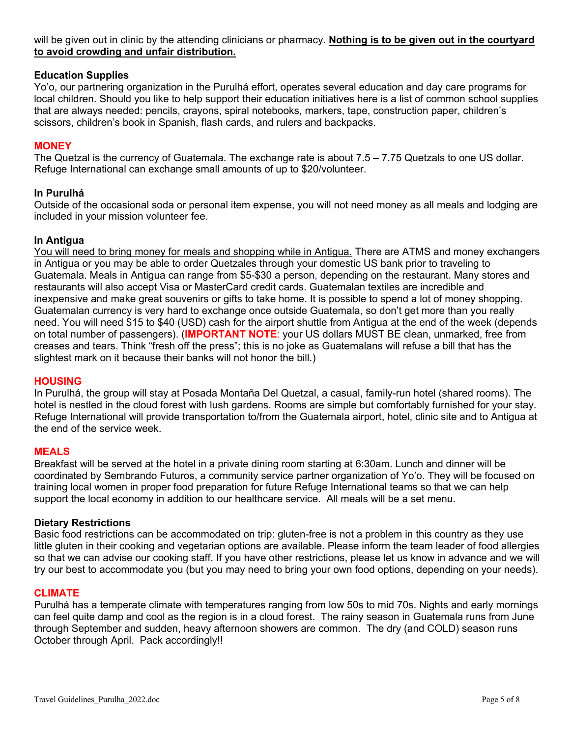will be given out in clinic by the attending clinicians or pharmacy. **Nothing is to be given out in the courtyard to avoid crowding and unfair distribution.**

## **Education Supplies**

Yo'o, our partnering organization in the Purulhá effort, operates several education and day care programs for local children. Should you like to help support their education initiatives here is a list of common school supplies that are always needed: pencils, crayons, spiral notebooks, markers, tape, construction paper, children's scissors, children's book in Spanish, flash cards, and rulers and backpacks.

## **MONEY**

The Quetzal is the currency of Guatemala. The exchange rate is about 7.5 – 7.75 Quetzals to one US dollar. Refuge International can exchange small amounts of up to \$20/volunteer.

## **In Purulhá**

Outside of the occasional soda or personal item expense, you will not need money as all meals and lodging are included in your mission volunteer fee.

## **In Antigua**

You will need to bring money for meals and shopping while in Antigua. There are ATMS and money exchangers in Antigua or you may be able to order Quetzales through your domestic US bank prior to traveling to Guatemala. Meals in Antigua can range from \$5-\$30 a person, depending on the restaurant. Many stores and restaurants will also accept Visa or MasterCard credit cards. Guatemalan textiles are incredible and inexpensive and make great souvenirs or gifts to take home. It is possible to spend a lot of money shopping. Guatemalan currency is very hard to exchange once outside Guatemala, so don't get more than you really need. You will need \$15 to \$40 (USD) cash for the airport shuttle from Antigua at the end of the week (depends on total number of passengers). (**IMPORTANT NOTE**: your US dollars MUST BE clean, unmarked, free from creases and tears. Think "fresh off the press"; this is no joke as Guatemalans will refuse a bill that has the slightest mark on it because their banks will not honor the bill.)

## **HOUSING**

In Purulhá, the group will stay at Posada Montaña Del Quetzal, a casual, family-run hotel (shared rooms). The hotel is nestled in the cloud forest with lush gardens. Rooms are simple but comfortably furnished for your stay. Refuge International will provide transportation to/from the Guatemala airport, hotel, clinic site and to Antigua at the end of the service week.

## **MEALS**

Breakfast will be served at the hotel in a private dining room starting at 6:30am. Lunch and dinner will be coordinated by Sembrando Futuros, a community service partner organization of Yo'o. They will be focused on training local women in proper food preparation for future Refuge International teams so that we can help support the local economy in addition to our healthcare service. All meals will be a set menu.

## **Dietary Restrictions**

Basic food restrictions can be accommodated on trip: gluten-free is not a problem in this country as they use little gluten in their cooking and vegetarian options are available. Please inform the team leader of food allergies so that we can advise our cooking staff. If you have other restrictions, please let us know in advance and we will try our best to accommodate you (but you may need to bring your own food options, depending on your needs).

#### **CLIMATE**

Purulhá has a temperate climate with temperatures ranging from low 50s to mid 70s. Nights and early mornings can feel quite damp and cool as the region is in a cloud forest. The rainy season in Guatemala runs from June through September and sudden, heavy afternoon showers are common. The dry (and COLD) season runs October through April. Pack accordingly!!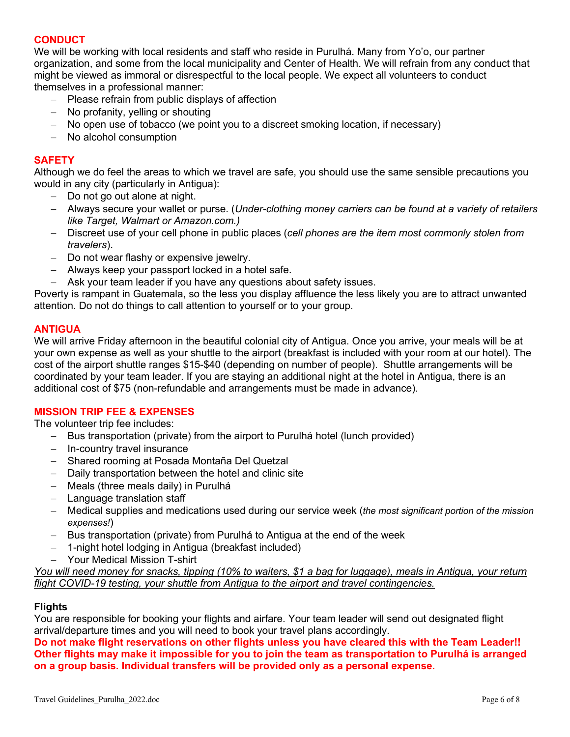# **CONDUCT**

We will be working with local residents and staff who reside in Purulhá. Many from Yo'o, our partner organization, and some from the local municipality and Center of Health. We will refrain from any conduct that might be viewed as immoral or disrespectful to the local people. We expect all volunteers to conduct themselves in a professional manner:

- Please refrain from public displays of affection
- No profanity, yelling or shouting
- No open use of tobacco (we point you to a discreet smoking location, if necessary)
- No alcohol consumption

## **SAFETY**

Although we do feel the areas to which we travel are safe, you should use the same sensible precautions you would in any city (particularly in Antigua):

- Do not go out alone at night.
- Always secure your wallet or purse. (*Under-clothing money carriers can be found at a variety of retailers like Target, Walmart or Amazon.com.)*
- Discreet use of your cell phone in public places (*cell phones are the item most commonly stolen from travelers*).
- Do not wear flashy or expensive jewelry.
- Always keep your passport locked in a hotel safe.
- Ask your team leader if you have any questions about safety issues.

Poverty is rampant in Guatemala, so the less you display affluence the less likely you are to attract unwanted attention. Do not do things to call attention to yourself or to your group.

## **ANTIGUA**

We will arrive Friday afternoon in the beautiful colonial city of Antigua. Once you arrive, your meals will be at your own expense as well as your shuttle to the airport (breakfast is included with your room at our hotel). The cost of the airport shuttle ranges \$15-\$40 (depending on number of people). Shuttle arrangements will be coordinated by your team leader. If you are staying an additional night at the hotel in Antigua, there is an additional cost of \$75 (non-refundable and arrangements must be made in advance).

## **MISSION TRIP FEE & EXPENSES**

The volunteer trip fee includes:

- Bus transportation (private) from the airport to Purulhá hotel (lunch provided)
- In-country travel insurance
- Shared rooming at Posada Montaña Del Quetzal
- Daily transportation between the hotel and clinic site
- Meals (three meals daily) in Purulhá
- Language translation staff
- Medical supplies and medications used during our service week (*the most significant portion of the mission expenses!*)
- Bus transportation (private) from Purulhá to Antigua at the end of the week
- 1-night hotel lodging in Antigua (breakfast included)
- Your Medical Mission T-shirt

*You will need money for snacks, tipping (10% to waiters, \$1 a bag for luggage), meals in Antigua, your return flight COVID-19 testing, your shuttle from Antigua to the airport and travel contingencies.*

# **Flights**

You are responsible for booking your flights and airfare. Your team leader will send out designated flight arrival/departure times and you will need to book your travel plans accordingly.

**Do not make flight reservations on other flights unless you have cleared this with the Team Leader!! Other flights may make it impossible for you to join the team as transportation to Purulhá is arranged on a group basis. Individual transfers will be provided only as a personal expense.**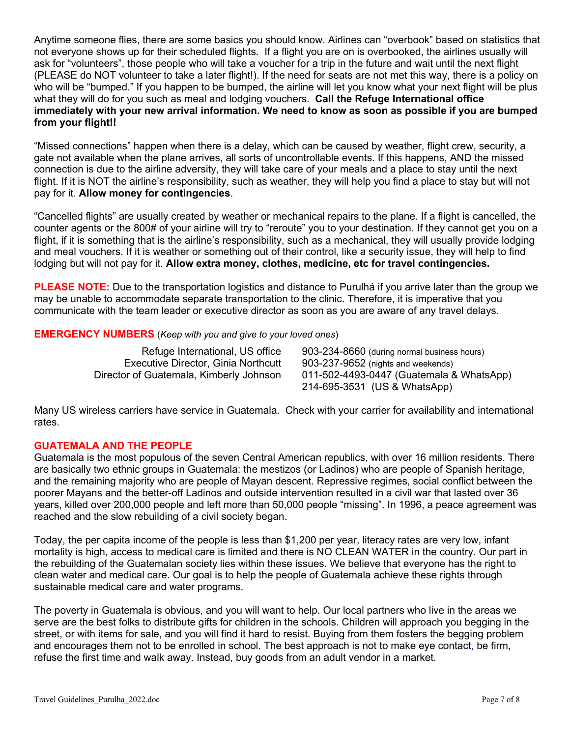Anytime someone flies, there are some basics you should know. Airlines can "overbook" based on statistics that not everyone shows up for their scheduled flights. If a flight you are on is overbooked, the airlines usually will ask for "volunteers", those people who will take a voucher for a trip in the future and wait until the next flight (PLEASE do NOT volunteer to take a later flight!). If the need for seats are not met this way, there is a policy on who will be "bumped." If you happen to be bumped, the airline will let you know what your next flight will be plus what they will do for you such as meal and lodging vouchers. **Call the Refuge International office immediately with your new arrival information. We need to know as soon as possible if you are bumped from your flight!!**

"Missed connections" happen when there is a delay, which can be caused by weather, flight crew, security, a gate not available when the plane arrives, all sorts of uncontrollable events. If this happens, AND the missed connection is due to the airline adversity, they will take care of your meals and a place to stay until the next flight. If it is NOT the airline's responsibility, such as weather, they will help you find a place to stay but will not pay for it. **Allow money for contingencies**.

"Cancelled flights" are usually created by weather or mechanical repairs to the plane. If a flight is cancelled, the counter agents or the 800# of your airline will try to "reroute" you to your destination. If they cannot get you on a flight, if it is something that is the airline's responsibility, such as a mechanical, they will usually provide lodging and meal vouchers. If it is weather or something out of their control, like a security issue, they will help to find lodging but will not pay for it. **Allow extra money, clothes, medicine, etc for travel contingencies.**

**PLEASE NOTE:** Due to the transportation logistics and distance to Purulhá if you arrive later than the group we may be unable to accommodate separate transportation to the clinic. Therefore, it is imperative that you communicate with the team leader or executive director as soon as you are aware of any travel delays.

# **EMERGENCY NUMBERS** (*Keep with you and give to your loved ones*)

Executive Director, Ginia Northcutt 903-237-9652 (nights and weekends)

Refuge International, US office 903-234-8660 (during normal business hours) Director of Guatemala, Kimberly Johnson 011-502-4493-0447 (Guatemala & WhatsApp) 214-695-3531 (US & WhatsApp)

Many US wireless carriers have service in Guatemala. Check with your carrier for availability and international rates.

# **GUATEMALA AND THE PEOPLE**

Guatemala is the most populous of the seven Central American republics, with over 16 million residents. There are basically two ethnic groups in Guatemala: the mestizos (or Ladinos) who are people of Spanish heritage, and the remaining majority who are people of Mayan descent. Repressive regimes, social conflict between the poorer Mayans and the better-off Ladinos and outside intervention resulted in a civil war that lasted over 36 years, killed over 200,000 people and left more than 50,000 people "missing". In 1996, a peace agreement was reached and the slow rebuilding of a civil society began.

Today, the per capita income of the people is less than \$1,200 per year, literacy rates are very low, infant mortality is high, access to medical care is limited and there is NO CLEAN WATER in the country. Our part in the rebuilding of the Guatemalan society lies within these issues. We believe that everyone has the right to clean water and medical care. Our goal is to help the people of Guatemala achieve these rights through sustainable medical care and water programs.

The poverty in Guatemala is obvious, and you will want to help. Our local partners who live in the areas we serve are the best folks to distribute gifts for children in the schools. Children will approach you begging in the street, or with items for sale, and you will find it hard to resist. Buying from them fosters the begging problem and encourages them not to be enrolled in school. The best approach is not to make eye contact, be firm, refuse the first time and walk away. Instead, buy goods from an adult vendor in a market.